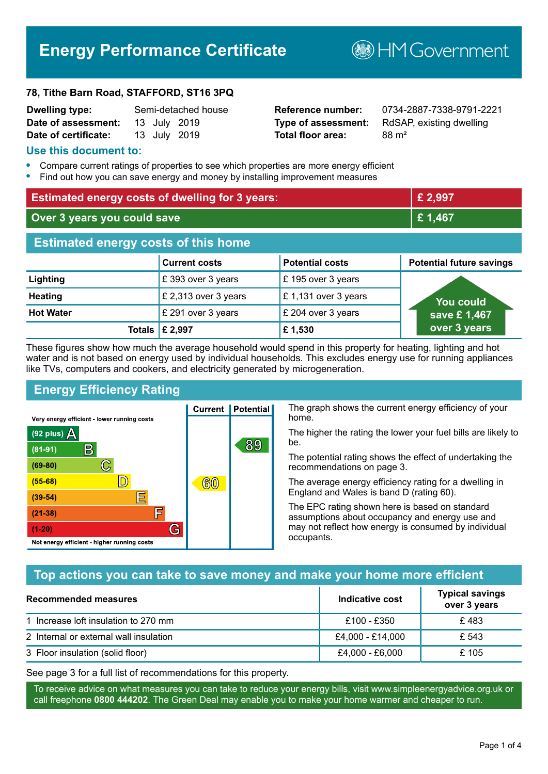# **Energy Performance Certificate**

#### **78, Tithe Barn Road, STAFFORD, ST16 3PQ**

| <b>Dwelling type:</b> |  | Semi-detached house |
|-----------------------|--|---------------------|
| Date of assessment:   |  | 13 July 2019        |
| Date of certificate:  |  | 13 July 2019        |

# **Total floor area:** 88 m<sup>2</sup>

**Dwelling type:** Semi-detached house **Reference number:** 0734-2887-7338-9791-2221 **Type of assessment:** RdSAP, existing dwelling

**B**HMGovernment

#### **Use this document to:**

- **•** Compare current ratings of properties to see which properties are more energy efficient
- **•** Find out how you can save energy and money by installing improvement measures

| <b>Estimated energy costs of dwelling for 3 years:</b> |                           |                        | £ 2,997                         |
|--------------------------------------------------------|---------------------------|------------------------|---------------------------------|
| Over 3 years you could save                            |                           | £1,467                 |                                 |
| <b>Estimated energy costs of this home</b>             |                           |                        |                                 |
|                                                        | <b>Current costs</b>      | <b>Potential costs</b> | <b>Potential future savings</b> |
| Lighting                                               | £393 over 3 years         | £195 over 3 years      |                                 |
| <b>Heating</b>                                         | £ 2,313 over 3 years      | £1,131 over 3 years    | <b>You could</b>                |
| <b>Hot Water</b>                                       | £ 291 over 3 years        | £ 204 over 3 years     | save £1,467                     |
|                                                        | Totals $\mathsf{E}$ 2,997 | £1,530                 | over 3 years                    |

These figures show how much the average household would spend in this property for heating, lighting and hot water and is not based on energy used by individual households. This excludes energy use for running appliances like TVs, computers and cookers, and electricity generated by microgeneration.

**Current | Potential** 

 $60$ 

89

# **Energy Efficiency Rating**

 $\mathbb{C}$ 

 $\mathbb{D}$ 

E

F

G

Very energy efficient - lower running costs

 $\mathsf{R}% _{T}$ 

Not energy efficient - higher running costs

(92 plus)  $\Delta$ 

 $(81 - 91)$ 

 $(69 - 80)$ 

 $(55-68)$ 

 $(39 - 54)$ 

 $(21-38)$ 

 $(1-20)$ 

The graph shows the current energy efficiency of your home.

The higher the rating the lower your fuel bills are likely to be.

The potential rating shows the effect of undertaking the recommendations on page 3.

The average energy efficiency rating for a dwelling in England and Wales is band D (rating 60).

The EPC rating shown here is based on standard assumptions about occupancy and energy use and may not reflect how energy is consumed by individual occupants.

# **Top actions you can take to save money and make your home more efficient**

| <b>Recommended measures</b>            | Indicative cost  | <b>Typical savings</b><br>over 3 years |
|----------------------------------------|------------------|----------------------------------------|
| 1 Increase loft insulation to 270 mm   | £100 - £350      | £483                                   |
| 2 Internal or external wall insulation | £4,000 - £14,000 | £ 543                                  |
| 3 Floor insulation (solid floor)       | £4,000 - £6,000  | £105                                   |

See page 3 for a full list of recommendations for this property.

To receive advice on what measures you can take to reduce your energy bills, visit www.simpleenergyadvice.org.uk or call freephone **0800 444202**. The Green Deal may enable you to make your home warmer and cheaper to run.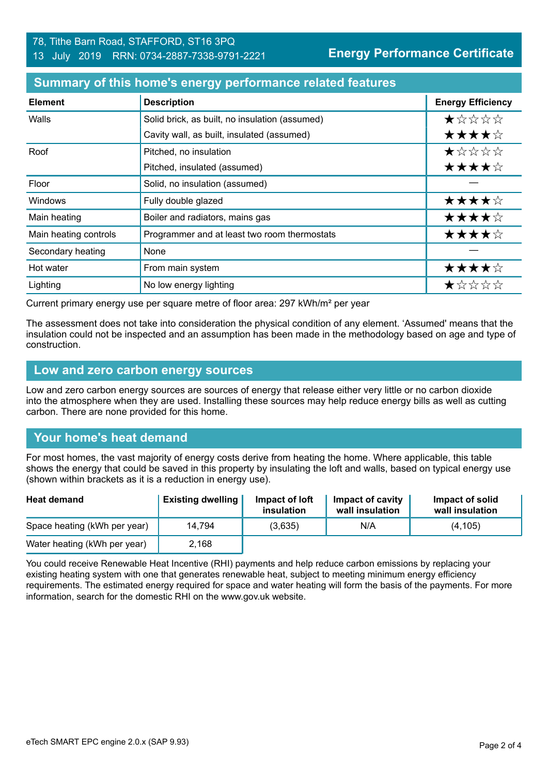#### 78, Tithe Barn Road, STAFFORD, ST16 3PQ 13 July 2019 RRN: 0734-2887-7338-9791-2221

**Energy Performance Certificate**

#### **Summary of this home's energy performance related features**

| <b>Element</b>        | <b>Description</b>                             | <b>Energy Efficiency</b> |
|-----------------------|------------------------------------------------|--------------------------|
| Walls                 | Solid brick, as built, no insulation (assumed) | *****                    |
|                       | Cavity wall, as built, insulated (assumed)     | ★★★★☆                    |
| Roof                  | Pitched, no insulation                         | $\star$ * * * *          |
|                       | Pitched, insulated (assumed)                   | ★★★★☆                    |
| Floor                 | Solid, no insulation (assumed)                 |                          |
| <b>Windows</b>        | Fully double glazed                            | ★★★★☆                    |
| Main heating          | Boiler and radiators, mains gas                | ★★★★☆                    |
| Main heating controls | Programmer and at least two room thermostats   | ★★★★☆                    |
| Secondary heating     | None                                           |                          |
| Hot water             | From main system                               | ★★★★☆                    |
| Lighting              | No low energy lighting                         | ★☆☆☆☆                    |

Current primary energy use per square metre of floor area: 297 kWh/m² per year

The assessment does not take into consideration the physical condition of any element. 'Assumed' means that the insulation could not be inspected and an assumption has been made in the methodology based on age and type of construction.

#### **Low and zero carbon energy sources**

Low and zero carbon energy sources are sources of energy that release either very little or no carbon dioxide into the atmosphere when they are used. Installing these sources may help reduce energy bills as well as cutting carbon. There are none provided for this home.

# **Your home's heat demand**

For most homes, the vast majority of energy costs derive from heating the home. Where applicable, this table shows the energy that could be saved in this property by insulating the loft and walls, based on typical energy use (shown within brackets as it is a reduction in energy use).

| <b>Heat demand</b>           | <b>Existing dwelling</b> | Impact of loft<br>insulation | Impact of cavity<br>wall insulation | Impact of solid<br>wall insulation |
|------------------------------|--------------------------|------------------------------|-------------------------------------|------------------------------------|
| Space heating (kWh per year) | 14.794                   | (3,635)                      | N/A                                 | (4, 105)                           |
| Water heating (kWh per year) | 2,168                    |                              |                                     |                                    |

You could receive Renewable Heat Incentive (RHI) payments and help reduce carbon emissions by replacing your existing heating system with one that generates renewable heat, subject to meeting minimum energy efficiency requirements. The estimated energy required for space and water heating will form the basis of the payments. For more information, search for the domestic RHI on the www.gov.uk website.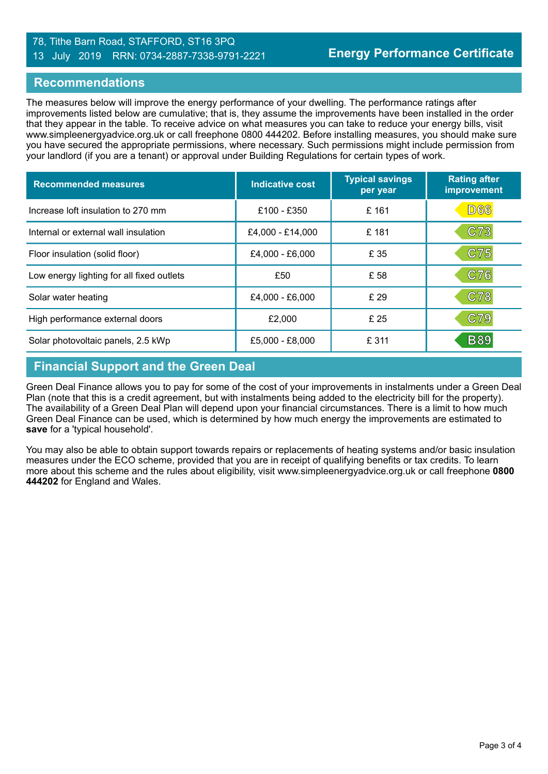#### 78, Tithe Barn Road, STAFFORD, ST16 3PQ 13 July 2019 RRN: 0734-2887-7338-9791-2221

### **Recommendations**

The measures below will improve the energy performance of your dwelling. The performance ratings after improvements listed below are cumulative; that is, they assume the improvements have been installed in the order that they appear in the table. To receive advice on what measures you can take to reduce your energy bills, visit www.simpleenergyadvice.org.uk or call freephone 0800 444202. Before installing measures, you should make sure you have secured the appropriate permissions, where necessary. Such permissions might include permission from your landlord (if you are a tenant) or approval under Building Regulations for certain types of work.

| <b>Recommended measures</b>               | Indicative cost  | <b>Typical savings</b><br>per year | <b>Rating after</b><br>improvement |
|-------------------------------------------|------------------|------------------------------------|------------------------------------|
| Increase loft insulation to 270 mm        | £100 - £350      | £161                               | <b>D66</b>                         |
| Internal or external wall insulation      | £4,000 - £14,000 | £181                               | C73                                |
| Floor insulation (solid floor)            | £4,000 - £6,000  | £ 35                               | C75                                |
| Low energy lighting for all fixed outlets | £50              | £ 58                               | C76                                |
| Solar water heating                       | £4,000 - £6,000  | £29                                | C78                                |
| High performance external doors           | £2,000           | £ 25                               | C79                                |
| Solar photovoltaic panels, 2.5 kWp        | £5,000 - £8,000  | £ 311                              | <b>B89</b>                         |

# **Financial Support and the Green Deal**

Green Deal Finance allows you to pay for some of the cost of your improvements in instalments under a Green Deal Plan (note that this is a credit agreement, but with instalments being added to the electricity bill for the property). The availability of a Green Deal Plan will depend upon your financial circumstances. There is a limit to how much Green Deal Finance can be used, which is determined by how much energy the improvements are estimated to **save** for a 'typical household'.

You may also be able to obtain support towards repairs or replacements of heating systems and/or basic insulation measures under the ECO scheme, provided that you are in receipt of qualifying benefits or tax credits. To learn more about this scheme and the rules about eligibility, visit www.simpleenergyadvice.org.uk or call freephone **0800 444202** for England and Wales.